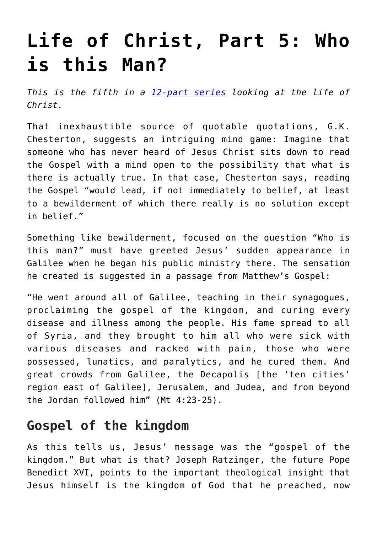# **[Life of Christ, Part 5: Who](https://www.osvnews.com/2019/10/03/life-of-christ-part-5-who-is-this-man/) [is this Man?](https://www.osvnews.com/2019/10/03/life-of-christ-part-5-who-is-this-man/)**

*This is the fifth in a [12-part series](https://www.osvnews.com/tag/life-of-christ/) looking at the life of Christ.*

That inexhaustible source of quotable quotations, G.K. Chesterton, suggests an intriguing mind game: Imagine that someone who has never heard of Jesus Christ sits down to read the Gospel with a mind open to the possibility that what is there is actually true. In that case, Chesterton says, reading the Gospel "would lead, if not immediately to belief, at least to a bewilderment of which there really is no solution except in belief."

Something like bewilderment, focused on the question "Who is this man?" must have greeted Jesus' sudden appearance in Galilee when he began his public ministry there. The sensation he created is suggested in a passage from Matthew's Gospel:

"He went around all of Galilee, teaching in their synagogues, proclaiming the gospel of the kingdom, and curing every disease and illness among the people. His fame spread to all of Syria, and they brought to him all who were sick with various diseases and racked with pain, those who were possessed, lunatics, and paralytics, and he cured them. And great crowds from Galilee, the Decapolis [the 'ten cities' region east of Galilee], Jerusalem, and Judea, and from beyond the Jordan followed him" (Mt 4:23-25).

### **Gospel of the kingdom**

As this tells us, Jesus' message was the "gospel of the kingdom." But what is that? Joseph Ratzinger, the future Pope Benedict XVI, points to the important theological insight that Jesus himself is the kingdom of God that he preached, now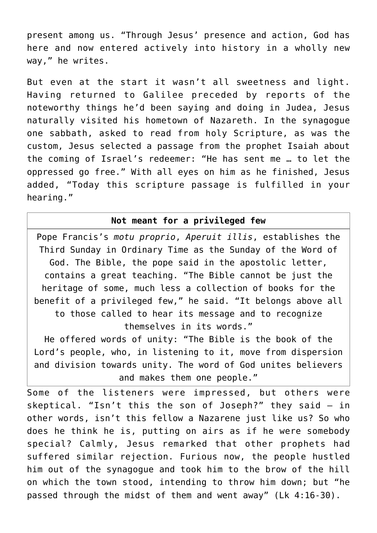present among us. "Through Jesus' presence and action, God has here and now entered actively into history in a wholly new way," he writes.

But even at the start it wasn't all sweetness and light. Having returned to Galilee preceded by reports of the noteworthy things he'd been saying and doing in Judea, Jesus naturally visited his hometown of Nazareth. In the synagogue one sabbath, asked to read from holy Scripture, as was the custom, Jesus selected a passage from the prophet Isaiah about the coming of Israel's redeemer: "He has sent me … to let the oppressed go free." With all eyes on him as he finished, Jesus added, "Today this scripture passage is fulfilled in your hearing."

#### **Not meant for a privileged few**

Pope Francis's *motu proprio*, *Aperuit illis*, establishes the Third Sunday in Ordinary Time as the Sunday of the Word of God. The Bible, the pope said in the apostolic letter, contains a great teaching. "The Bible cannot be just the heritage of some, much less a collection of books for the benefit of a privileged few," he said. "It belongs above all to those called to hear its message and to recognize themselves in its words."

He offered words of unity: "The Bible is the book of the Lord's people, who, in listening to it, move from dispersion and division towards unity. The word of God unites believers and makes them one people."

Some of the listeners were impressed, but others were skeptical. "Isn't this the son of Joseph?" they said — in other words, isn't this fellow a Nazarene just like us? So who does he think he is, putting on airs as if he were somebody special? Calmly, Jesus remarked that other prophets had suffered similar rejection. Furious now, the people hustled him out of the synagogue and took him to the brow of the hill on which the town stood, intending to throw him down; but "he passed through the midst of them and went away" (Lk 4:16-30).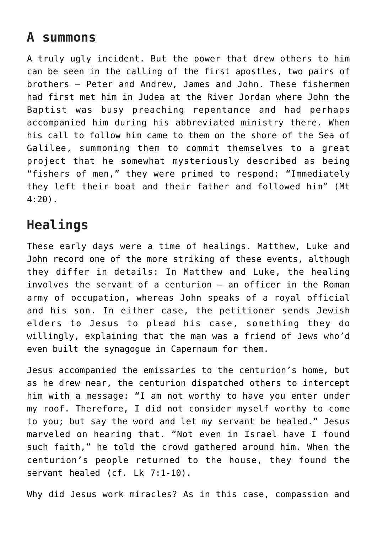# **A summons**

A truly ugly incident. But the power that drew others to him can be seen in the calling of the first apostles, two pairs of brothers — Peter and Andrew, James and John. These fishermen had first met him in Judea at the River Jordan where John the Baptist was busy preaching repentance and had perhaps accompanied him during his abbreviated ministry there. When his call to follow him came to them on the shore of the Sea of Galilee, summoning them to commit themselves to a great project that he somewhat mysteriously described as being "fishers of men," they were primed to respond: "Immediately they left their boat and their father and followed him" (Mt 4:20).

# **Healings**

These early days were a time of healings. Matthew, Luke and John record one of the more striking of these events, although they differ in details: In Matthew and Luke, the healing involves the servant of a centurion — an officer in the Roman army of occupation, whereas John speaks of a royal official and his son. In either case, the petitioner sends Jewish elders to Jesus to plead his case, something they do willingly, explaining that the man was a friend of Jews who'd even built the synagogue in Capernaum for them.

Jesus accompanied the emissaries to the centurion's home, but as he drew near, the centurion dispatched others to intercept him with a message: "I am not worthy to have you enter under my roof. Therefore, I did not consider myself worthy to come to you; but say the word and let my servant be healed." Jesus marveled on hearing that. "Not even in Israel have I found such faith," he told the crowd gathered around him. When the centurion's people returned to the house, they found the servant healed (cf. Lk 7:1-10).

Why did Jesus work miracles? As in this case, compassion and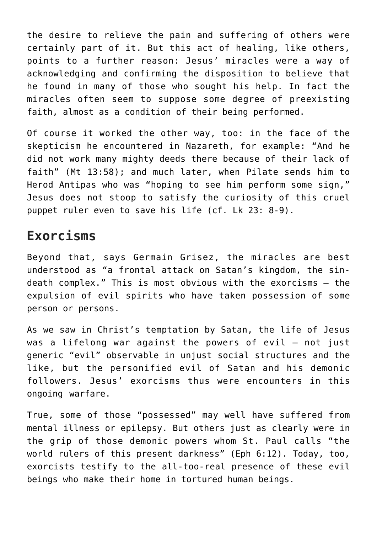the desire to relieve the pain and suffering of others were certainly part of it. But this act of healing, like others, points to a further reason: Jesus' miracles were a way of acknowledging and confirming the disposition to believe that he found in many of those who sought his help. In fact the miracles often seem to suppose some degree of preexisting faith, almost as a condition of their being performed.

Of course it worked the other way, too: in the face of the skepticism he encountered in Nazareth, for example: "And he did not work many mighty deeds there because of their lack of faith" (Mt 13:58); and much later, when Pilate sends him to Herod Antipas who was "hoping to see him perform some sign," Jesus does not stoop to satisfy the curiosity of this cruel puppet ruler even to save his life (cf. Lk 23: 8-9).

## **Exorcisms**

Beyond that, says Germain Grisez, the miracles are best understood as "a frontal attack on Satan's kingdom, the sindeath complex." This is most obvious with the exorcisms — the expulsion of evil spirits who have taken possession of some person or persons.

As we saw in Christ's temptation by Satan, the life of Jesus was a lifelong war against the powers of evil — not just generic "evil" observable in unjust social structures and the like, but the personified evil of Satan and his demonic followers. Jesus' exorcisms thus were encounters in this ongoing warfare.

True, some of those "possessed" may well have suffered from mental illness or epilepsy. But others just as clearly were in the grip of those demonic powers whom St. Paul calls "the world rulers of this present darkness" (Eph 6:12). Today, too, exorcists testify to the all-too-real presence of these evil beings who make their home in tortured human beings.